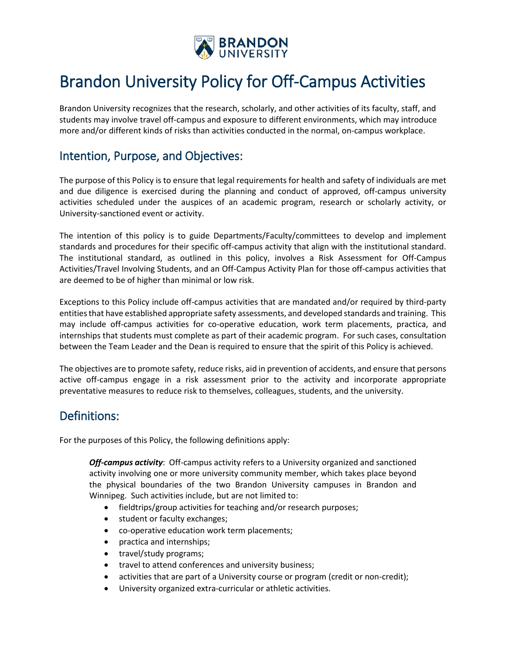

## Brandon University Policy for Off-Campus Activities

Brandon University recognizes that the research, scholarly, and other activities of its faculty, staff, and students may involve travel off-campus and exposure to different environments, which may introduce more and/or different kinds of risks than activities conducted in the normal, on-campus workplace.

### Intention, Purpose, and Objectives:

The purpose of this Policy is to ensure that legal requirements for health and safety of individuals are met and due diligence is exercised during the planning and conduct of approved, off-campus university activities scheduled under the auspices of an academic program, research or scholarly activity, or University-sanctioned event or activity.

The intention of this policy is to guide Departments/Faculty/committees to develop and implement standards and procedures for their specific off-campus activity that align with the institutional standard. The institutional standard, as outlined in this policy, involves a Risk Assessment for Off-Campus Activities/Travel Involving Students, and an Off-Campus Activity Plan for those off-campus activities that are deemed to be of higher than minimal or low risk.

Exceptions to this Policy include off-campus activities that are mandated and/or required by third-party entities that have established appropriate safety assessments, and developed standards and training. This may include off-campus activities for co-operative education, work term placements, practica, and internships that students must complete as part of their academic program. For such cases, consultation between the Team Leader and the Dean is required to ensure that the spirit of this Policy is achieved.

The objectives are to promote safety, reduce risks, aid in prevention of accidents, and ensure that persons active off-campus engage in a risk assessment prior to the activity and incorporate appropriate preventative measures to reduce risk to themselves, colleagues, students, and the university.

### Definitions:

For the purposes of this Policy, the following definitions apply:

*Off-campus activity*: Off-campus activity refers to a University organized and sanctioned activity involving one or more university community member, which takes place beyond the physical boundaries of the two Brandon University campuses in Brandon and Winnipeg. Such activities include, but are not limited to:

- fieldtrips/group activities for teaching and/or research purposes;
- student or faculty exchanges;
- co-operative education work term placements;
- practica and internships;
- travel/study programs;
- travel to attend conferences and university business;
- activities that are part of a University course or program (credit or non-credit);
- University organized extra-curricular or athletic activities.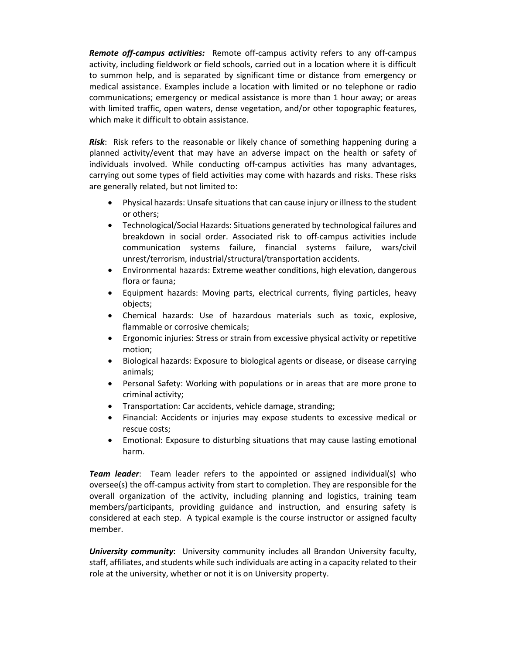*Remote off-campus activities:* Remote off-campus activity refers to any off-campus activity, including fieldwork or field schools, carried out in a location where it is difficult to summon help, and is separated by significant time or distance from emergency or medical assistance. Examples include a location with limited or no telephone or radio communications; emergency or medical assistance is more than 1 hour away; or areas with limited traffic, open waters, dense vegetation, and/or other topographic features, which make it difficult to obtain assistance.

*Risk*:Risk refers to the reasonable or likely chance of something happening during a planned activity/event that may have an adverse impact on the health or safety of individuals involved. While conducting off-campus activities has many advantages, carrying out some types of field activities may come with hazards and risks. These risks are generally related, but not limited to:

- Physical hazards: Unsafe situations that can cause injury or illness to the student or others;
- Technological/Social Hazards: Situations generated by technological failures and breakdown in social order. Associated risk to off-campus activities include communication systems failure, financial systems failure, wars/civil unrest/terrorism, industrial/structural/transportation accidents.
- Environmental hazards: Extreme weather conditions, high elevation, dangerous flora or fauna;
- Equipment hazards: Moving parts, electrical currents, flying particles, heavy objects;
- Chemical hazards: Use of hazardous materials such as toxic, explosive, flammable or corrosive chemicals;
- Ergonomic injuries: Stress or strain from excessive physical activity or repetitive motion;
- Biological hazards: Exposure to biological agents or disease, or disease carrying animals;
- Personal Safety: Working with populations or in areas that are more prone to criminal activity;
- Transportation: Car accidents, vehicle damage, stranding;
- Financial: Accidents or injuries may expose students to excessive medical or rescue costs;
- Emotional: Exposure to disturbing situations that may cause lasting emotional harm.

*Team leader*:Team leader refers to the appointed or assigned individual(s) who oversee(s) the off-campus activity from start to completion. They are responsible for the overall organization of the activity, including planning and logistics, training team members/participants, providing guidance and instruction, and ensuring safety is considered at each step. A typical example is the course instructor or assigned faculty member.

*University community*: University community includes all Brandon University faculty, staff, affiliates, and students while such individuals are acting in a capacity related to their role at the university, whether or not it is on University property.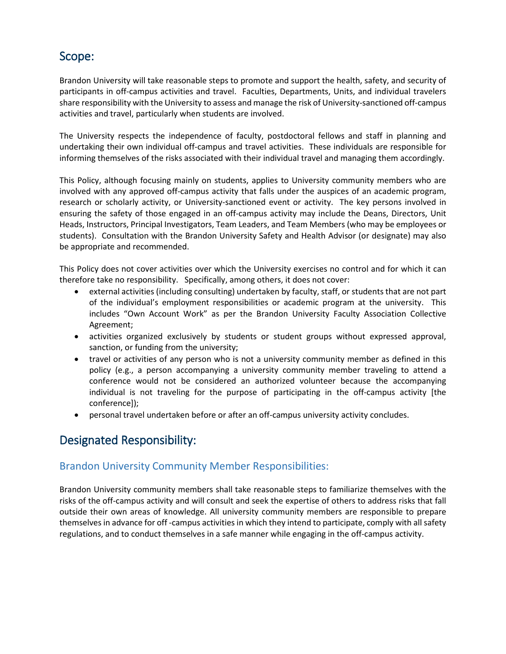### Scope:

Brandon University will take reasonable steps to promote and support the health, safety, and security of participants in off-campus activities and travel. Faculties, Departments, Units, and individual travelers share responsibility with the University to assess and manage the risk of University-sanctioned off-campus activities and travel, particularly when students are involved.

The University respects the independence of faculty, postdoctoral fellows and staff in planning and undertaking their own individual off-campus and travel activities. These individuals are responsible for informing themselves of the risks associated with their individual travel and managing them accordingly.

This Policy, although focusing mainly on students, applies to University community members who are involved with any approved off-campus activity that falls under the auspices of an academic program, research or scholarly activity, or University-sanctioned event or activity. The key persons involved in ensuring the safety of those engaged in an off-campus activity may include the Deans, Directors, Unit Heads, Instructors, Principal Investigators, Team Leaders, and Team Members (who may be employees or students). Consultation with the Brandon University Safety and Health Advisor (or designate) may also be appropriate and recommended.

This Policy does not cover activities over which the University exercises no control and for which it can therefore take no responsibility. Specifically, among others, it does not cover:

- external activities (including consulting) undertaken by faculty, staff, or students that are not part of the individual's employment responsibilities or academic program at the university. This includes "Own Account Work" as per the Brandon University Faculty Association Collective Agreement;
- activities organized exclusively by students or student groups without expressed approval, sanction, or funding from the university;
- travel or activities of any person who is not a university community member as defined in this policy (e.g., a person accompanying a university community member traveling to attend a conference would not be considered an authorized volunteer because the accompanying individual is not traveling for the purpose of participating in the off-campus activity [the conference]);
- personal travel undertaken before or after an off-campus university activity concludes.

### Designated Responsibility:

### Brandon University Community Member Responsibilities:

Brandon University community members shall take reasonable steps to familiarize themselves with the risks of the off-campus activity and will consult and seek the expertise of others to address risks that fall outside their own areas of knowledge. All university community members are responsible to prepare themselves in advance for off -campus activities in which they intend to participate, comply with all safety regulations, and to conduct themselves in a safe manner while engaging in the off-campus activity.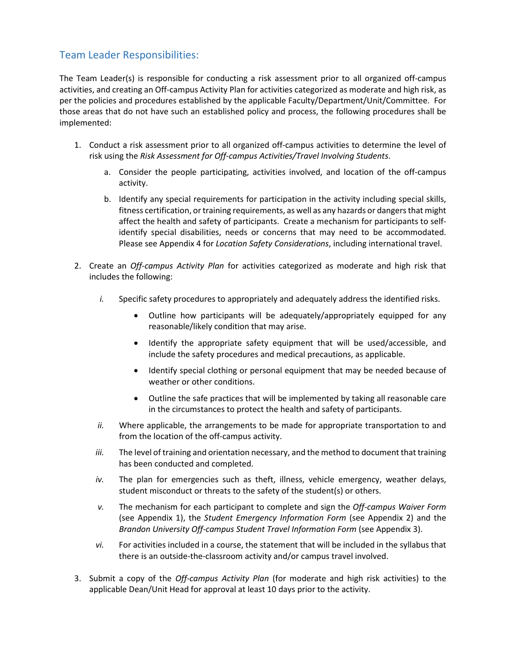### Team Leader Responsibilities:

The Team Leader(s) is responsible for conducting a risk assessment prior to all organized off-campus activities, and creating an Off-campus Activity Plan for activities categorized as moderate and high risk, as per the policies and procedures established by the applicable Faculty/Department/Unit/Committee. For those areas that do not have such an established policy and process, the following procedures shall be implemented:

- 1. Conduct a risk assessment prior to all organized off-campus activities to determine the level of risk using the *Risk Assessment for Off-campus Activities/Travel Involving Students*.
	- a. Consider the people participating, activities involved, and location of the off-campus activity.
	- b. Identify any special requirements for participation in the activity including special skills, fitness certification, or training requirements, as well as any hazards or dangers that might affect the health and safety of participants. Create a mechanism for participants to selfidentify special disabilities, needs or concerns that may need to be accommodated. Please see Appendix 4 for *Location Safety Considerations*, including international travel.
- 2. Create an *Off-campus Activity Plan* for activities categorized as moderate and high risk that includes the following:
	- *i.* Specific safety procedures to appropriately and adequately address the identified risks.
		- Outline how participants will be adequately/appropriately equipped for any reasonable/likely condition that may arise.
		- Identify the appropriate safety equipment that will be used/accessible, and include the safety procedures and medical precautions, as applicable.
		- Identify special clothing or personal equipment that may be needed because of weather or other conditions.
		- Outline the safe practices that will be implemented by taking all reasonable care in the circumstances to protect the health and safety of participants.
	- *ii.* Where applicable, the arrangements to be made for appropriate transportation to and from the location of the off-campus activity.
	- *iii.* The level of training and orientation necessary, and the method to document that training has been conducted and completed.
	- *iv.* The plan for emergencies such as theft, illness, vehicle emergency, weather delays, student misconduct or threats to the safety of the student(s) or others.
	- *v.* The mechanism for each participant to complete and sign the *Off-campus Waiver Form* (see Appendix 1), the *Student Emergency Information Form* (see Appendix 2) and the *Brandon University Off-campus Student Travel Information Form* (see Appendix 3).
	- *vi.* For activities included in a course, the statement that will be included in the syllabus that there is an outside-the-classroom activity and/or campus travel involved.
- 3. Submit a copy of the *Off-campus Activity Plan* (for moderate and high risk activities) to the applicable Dean/Unit Head for approval at least 10 days prior to the activity.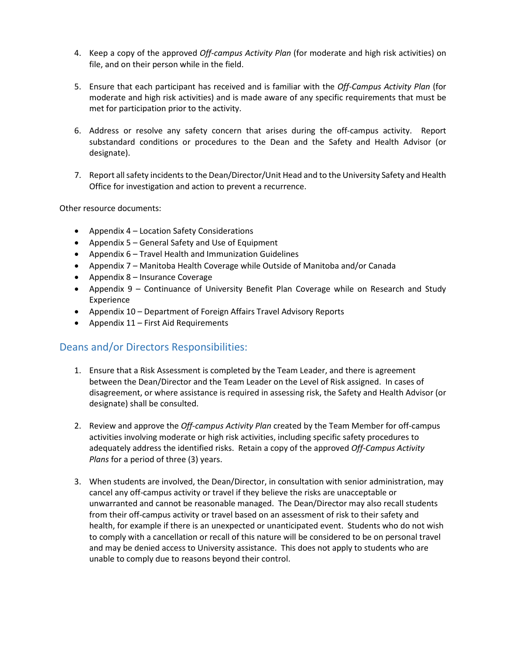- 4. Keep a copy of the approved *Off-campus Activity Plan* (for moderate and high risk activities) on file, and on their person while in the field.
- 5. Ensure that each participant has received and is familiar with the *Off-Campus Activity Plan* (for moderate and high risk activities) and is made aware of any specific requirements that must be met for participation prior to the activity.
- 6. Address or resolve any safety concern that arises during the off-campus activity. Report substandard conditions or procedures to the Dean and the Safety and Health Advisor (or designate).
- 7. Report all safety incidents to the Dean/Director/Unit Head and to the University Safety and Health Office for investigation and action to prevent a recurrence.

Other resource documents:

- Appendix 4 Location Safety Considerations
- Appendix 5 General Safety and Use of Equipment
- Appendix 6 Travel Health and Immunization Guidelines
- Appendix 7 Manitoba Health Coverage while Outside of Manitoba and/or Canada
- Appendix 8 Insurance Coverage
- Appendix 9 Continuance of University Benefit Plan Coverage while on Research and Study Experience
- Appendix 10 Department of Foreign Affairs Travel Advisory Reports
- Appendix 11 First Aid Requirements

### Deans and/or Directors Responsibilities:

- 1. Ensure that a Risk Assessment is completed by the Team Leader, and there is agreement between the Dean/Director and the Team Leader on the Level of Risk assigned. In cases of disagreement, or where assistance is required in assessing risk, the Safety and Health Advisor (or designate) shall be consulted.
- 2. Review and approve the *Off-campus Activity Plan* created by the Team Member for off-campus activities involving moderate or high risk activities, including specific safety procedures to adequately address the identified risks. Retain a copy of the approved *Off-Campus Activity Plans* for a period of three (3) years.
- 3. When students are involved, the Dean/Director, in consultation with senior administration, may cancel any off-campus activity or travel if they believe the risks are unacceptable or unwarranted and cannot be reasonable managed. The Dean/Director may also recall students from their off-campus activity or travel based on an assessment of risk to their safety and health, for example if there is an unexpected or unanticipated event. Students who do not wish to comply with a cancellation or recall of this nature will be considered to be on personal travel and may be denied access to University assistance. This does not apply to students who are unable to comply due to reasons beyond their control.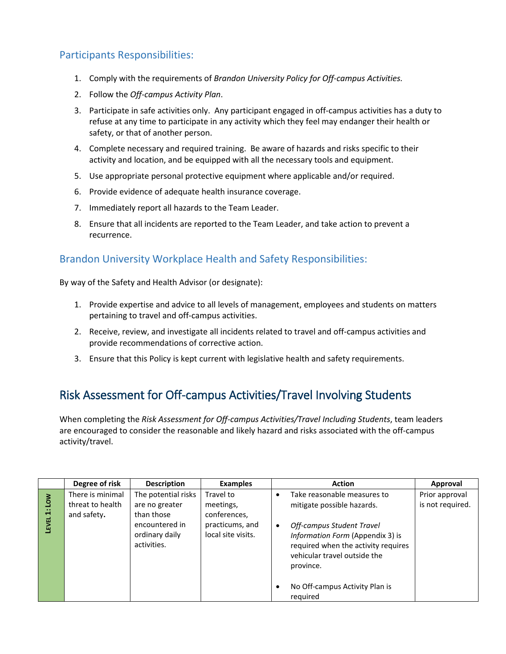### Participants Responsibilities:

- 1. Comply with the requirements of *Brandon University Policy for Off-campus Activities.*
- 2. Follow the *Off-campus Activity Plan*.
- 3. Participate in safe activities only. Any participant engaged in off-campus activities has a duty to refuse at any time to participate in any activity which they feel may endanger their health or safety, or that of another person.
- 4. Complete necessary and required training. Be aware of hazards and risks specific to their activity and location, and be equipped with all the necessary tools and equipment.
- 5. Use appropriate personal protective equipment where applicable and/or required.
- 6. Provide evidence of adequate health insurance coverage.
- 7. Immediately report all hazards to the Team Leader.
- 8. Ensure that all incidents are reported to the Team Leader, and take action to prevent a recurrence.

### Brandon University Workplace Health and Safety Responsibilities:

By way of the Safety and Health Advisor (or designate):

- 1. Provide expertise and advice to all levels of management, employees and students on matters pertaining to travel and off-campus activities.
- 2. Receive, review, and investigate all incidents related to travel and off-campus activities and provide recommendations of corrective action.
- 3. Ensure that this Policy is kept current with legislative health and safety requirements.

### Risk Assessment for Off-campus Activities/Travel Involving Students

When completing the *Risk Assessment for Off-campus Activities/Travel Including Students*, team leaders are encouraged to consider the reasonable and likely hazard and risks associated with the off-campus activity/travel.

|                                   | Degree of risk                                      | <b>Description</b>                                                                                     | <b>Examples</b>                                                                 | <b>Action</b>                                                                                                                                                                                                       | Approval                           |
|-----------------------------------|-----------------------------------------------------|--------------------------------------------------------------------------------------------------------|---------------------------------------------------------------------------------|---------------------------------------------------------------------------------------------------------------------------------------------------------------------------------------------------------------------|------------------------------------|
| Low<br>$\ddot{ }$<br><b>LEVEL</b> | There is minimal<br>threat to health<br>and safety. | The potential risks<br>are no greater<br>than those<br>encountered in<br>ordinary daily<br>activities. | Travel to<br>meetings,<br>conferences,<br>practicums, and<br>local site visits. | Take reasonable measures to<br>mitigate possible hazards.<br>Off-campus Student Travel<br>٠<br>Information Form (Appendix 3) is<br>required when the activity requires<br>vehicular travel outside the<br>province. | Prior approval<br>is not required. |
|                                   |                                                     |                                                                                                        |                                                                                 | No Off-campus Activity Plan is<br>required                                                                                                                                                                          |                                    |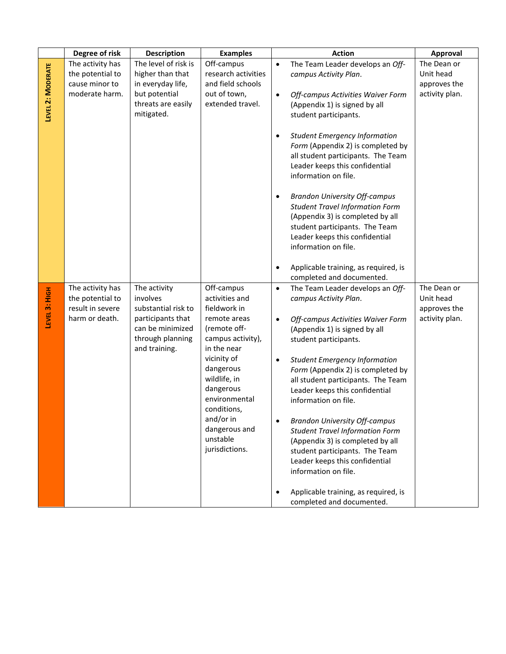|                   | Degree of risk   | <b>Description</b>                | <b>Examples</b>                  | <b>Action</b>                                                                                                                                                                                                                                                                                                                                                                                                         | Approval       |
|-------------------|------------------|-----------------------------------|----------------------------------|-----------------------------------------------------------------------------------------------------------------------------------------------------------------------------------------------------------------------------------------------------------------------------------------------------------------------------------------------------------------------------------------------------------------------|----------------|
| LEVEL 2: MODERATE | The activity has | The level of risk is              | Off-campus                       | The Team Leader develops an Off-<br>$\bullet$                                                                                                                                                                                                                                                                                                                                                                         | The Dean or    |
|                   | the potential to | higher than that                  | research activities              | campus Activity Plan.                                                                                                                                                                                                                                                                                                                                                                                                 | Unit head      |
|                   | cause minor to   | in everyday life,                 | and field schools                |                                                                                                                                                                                                                                                                                                                                                                                                                       | approves the   |
|                   | moderate harm.   | but potential                     | out of town,                     | Off-campus Activities Waiver Form<br>$\bullet$                                                                                                                                                                                                                                                                                                                                                                        | activity plan. |
|                   |                  | threats are easily                | extended travel.                 | (Appendix 1) is signed by all                                                                                                                                                                                                                                                                                                                                                                                         |                |
|                   |                  | mitigated.                        |                                  | student participants.                                                                                                                                                                                                                                                                                                                                                                                                 |                |
|                   |                  |                                   |                                  | <b>Student Emergency Information</b><br>$\bullet$<br>Form (Appendix 2) is completed by<br>all student participants. The Team<br>Leader keeps this confidential<br>information on file.<br><b>Brandon University Off-campus</b><br>$\bullet$<br><b>Student Travel Information Form</b><br>(Appendix 3) is completed by all<br>student participants. The Team<br>Leader keeps this confidential<br>information on file. |                |
|                   |                  |                                   |                                  | Applicable training, as required, is<br>$\bullet$<br>completed and documented.                                                                                                                                                                                                                                                                                                                                        |                |
|                   | The activity has | The activity                      | Off-campus                       | The Team Leader develops an Off-<br>$\bullet$                                                                                                                                                                                                                                                                                                                                                                         | The Dean or    |
| LEVEL 3: HIGH     | the potential to | involves                          | activities and                   | campus Activity Plan.                                                                                                                                                                                                                                                                                                                                                                                                 | Unit head      |
|                   | result in severe | substantial risk to               | fieldwork in                     |                                                                                                                                                                                                                                                                                                                                                                                                                       | approves the   |
|                   | harm or death.   | participants that                 | remote areas                     | Off-campus Activities Waiver Form<br>$\bullet$                                                                                                                                                                                                                                                                                                                                                                        | activity plan. |
|                   |                  | can be minimized                  | (remote off-                     | (Appendix 1) is signed by all                                                                                                                                                                                                                                                                                                                                                                                         |                |
|                   |                  | through planning<br>and training. | campus activity),<br>in the near | student participants.                                                                                                                                                                                                                                                                                                                                                                                                 |                |
|                   |                  |                                   | vicinity of                      | <b>Student Emergency Information</b><br>$\bullet$                                                                                                                                                                                                                                                                                                                                                                     |                |
|                   |                  |                                   | dangerous                        | Form (Appendix 2) is completed by                                                                                                                                                                                                                                                                                                                                                                                     |                |
|                   |                  |                                   | wildlife, in                     | all student participants. The Team                                                                                                                                                                                                                                                                                                                                                                                    |                |
|                   |                  |                                   | dangerous                        | Leader keeps this confidential                                                                                                                                                                                                                                                                                                                                                                                        |                |
|                   |                  |                                   | environmental                    | information on file.                                                                                                                                                                                                                                                                                                                                                                                                  |                |
|                   |                  |                                   | conditions,                      |                                                                                                                                                                                                                                                                                                                                                                                                                       |                |
|                   |                  |                                   | and/or in<br>dangerous and       | <b>Brandon University Off-campus</b><br>$\bullet$                                                                                                                                                                                                                                                                                                                                                                     |                |
|                   |                  |                                   | unstable                         | <b>Student Travel Information Form</b><br>(Appendix 3) is completed by all                                                                                                                                                                                                                                                                                                                                            |                |
|                   |                  |                                   | jurisdictions.                   | student participants. The Team                                                                                                                                                                                                                                                                                                                                                                                        |                |
|                   |                  |                                   |                                  | Leader keeps this confidential                                                                                                                                                                                                                                                                                                                                                                                        |                |
|                   |                  |                                   |                                  | information on file.                                                                                                                                                                                                                                                                                                                                                                                                  |                |
|                   |                  |                                   |                                  |                                                                                                                                                                                                                                                                                                                                                                                                                       |                |
|                   |                  |                                   |                                  | Applicable training, as required, is<br>$\bullet$<br>completed and documented.                                                                                                                                                                                                                                                                                                                                        |                |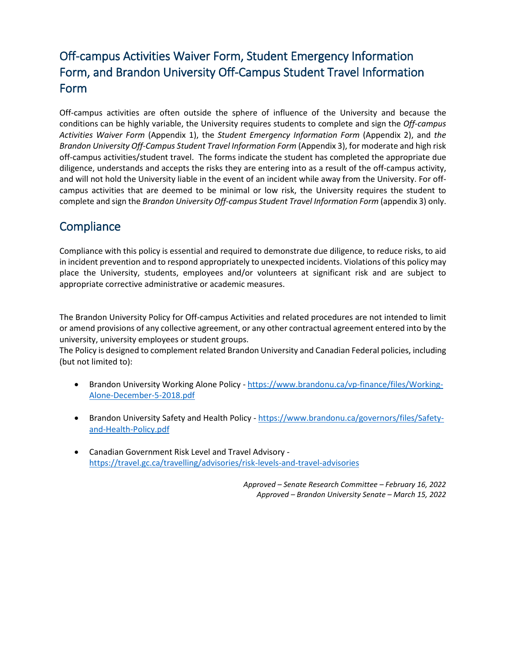## Off-campus Activities Waiver Form, Student Emergency Information Form, and Brandon University Off-Campus Student Travel Information Form

Off-campus activities are often outside the sphere of influence of the University and because the conditions can be highly variable, the University requires students to complete and sign the *Off-campus Activities Waiver Form* (Appendix 1), the *Student Emergency Information Form* (Appendix 2), and *the Brandon University Off-Campus Student Travel Information Form* (Appendix 3), for moderate and high risk off-campus activities/student travel. The forms indicate the student has completed the appropriate due diligence, understands and accepts the risks they are entering into as a result of the off-campus activity, and will not hold the University liable in the event of an incident while away from the University. For offcampus activities that are deemed to be minimal or low risk, the University requires the student to complete and sign the *Brandon University Off-campus Student Travel Information Form* (appendix 3) only.

### **Compliance**

Compliance with this policy is essential and required to demonstrate due diligence, to reduce risks, to aid in incident prevention and to respond appropriately to unexpected incidents. Violations of this policy may place the University, students, employees and/or volunteers at significant risk and are subject to appropriate corrective administrative or academic measures.

The Brandon University Policy for Off-campus Activities and related procedures are not intended to limit or amend provisions of any collective agreement, or any other contractual agreement entered into by the university, university employees or student groups.

The Policy is designed to complement related Brandon University and Canadian Federal policies, including (but not limited to):

- Brandon University Working Alone Policy [https://www.brandonu.ca/vp-finance/files/Working-](https://www.brandonu.ca/vp-finance/files/Working-Alone-December-5-2018.pdf)[Alone-December-5-2018.pdf](https://www.brandonu.ca/vp-finance/files/Working-Alone-December-5-2018.pdf)
- Brandon University Safety and Health Policy [https://www.brandonu.ca/governors/files/Safety](https://www.brandonu.ca/governors/files/Safety-and-Health-Policy.pdf)[and-Health-Policy.pdf](https://www.brandonu.ca/governors/files/Safety-and-Health-Policy.pdf)
- Canadian Government Risk Level and Travel Advisory <https://travel.gc.ca/travelling/advisories/risk-levels-and-travel-advisories>

*Approved – Senate Research Committee – February 16, 2022 Approved – Brandon University Senate – March 15, 2022*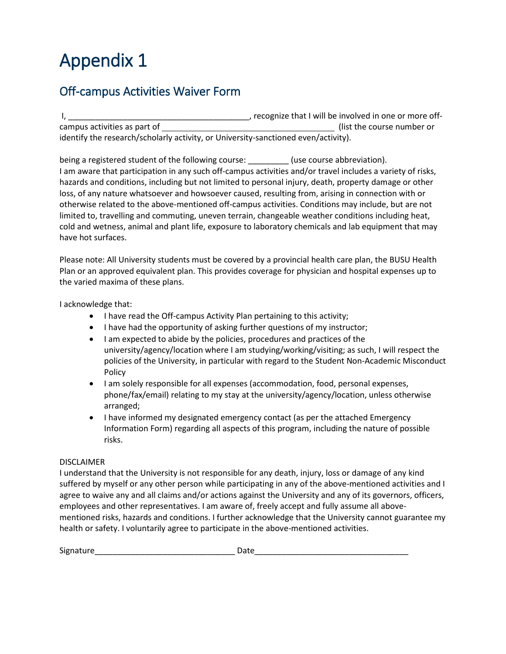## Off-campus Activities Waiver Form

I, \_\_\_\_\_\_\_\_\_\_\_\_\_\_\_\_\_\_\_\_\_\_\_\_\_\_\_\_\_\_\_\_\_\_\_\_\_\_\_\_, recognize that I will be involved in one or more offcampus activities as part of  $($ list the course number or identify the research/scholarly activity, or University-sanctioned even/activity).

being a registered student of the following course: (use course abbreviation). I am aware that participation in any such off-campus activities and/or travel includes a variety of risks, hazards and conditions, including but not limited to personal injury, death, property damage or other loss, of any nature whatsoever and howsoever caused, resulting from, arising in connection with or otherwise related to the above-mentioned off-campus activities. Conditions may include, but are not limited to, travelling and commuting, uneven terrain, changeable weather conditions including heat, cold and wetness, animal and plant life, exposure to laboratory chemicals and lab equipment that may have hot surfaces.

Please note: All University students must be covered by a provincial health care plan, the BUSU Health Plan or an approved equivalent plan. This provides coverage for physician and hospital expenses up to the varied maxima of these plans.

I acknowledge that:

- I have read the Off-campus Activity Plan pertaining to this activity;
- I have had the opportunity of asking further questions of my instructor;
- I am expected to abide by the policies, procedures and practices of the university/agency/location where I am studying/working/visiting; as such, I will respect the policies of the University, in particular with regard to the Student Non-Academic Misconduct Policy
- I am solely responsible for all expenses (accommodation, food, personal expenses, phone/fax/email) relating to my stay at the university/agency/location, unless otherwise arranged;
- I have informed my designated emergency contact (as per the attached Emergency Information Form) regarding all aspects of this program, including the nature of possible risks.

#### DISCLAIMER

I understand that the University is not responsible for any death, injury, loss or damage of any kind suffered by myself or any other person while participating in any of the above-mentioned activities and I agree to waive any and all claims and/or actions against the University and any of its governors, officers, employees and other representatives. I am aware of, freely accept and fully assume all abovementioned risks, hazards and conditions. I further acknowledge that the University cannot guarantee my health or safety. I voluntarily agree to participate in the above-mentioned activities.

| Signature | . |
|-----------|---|
|           |   |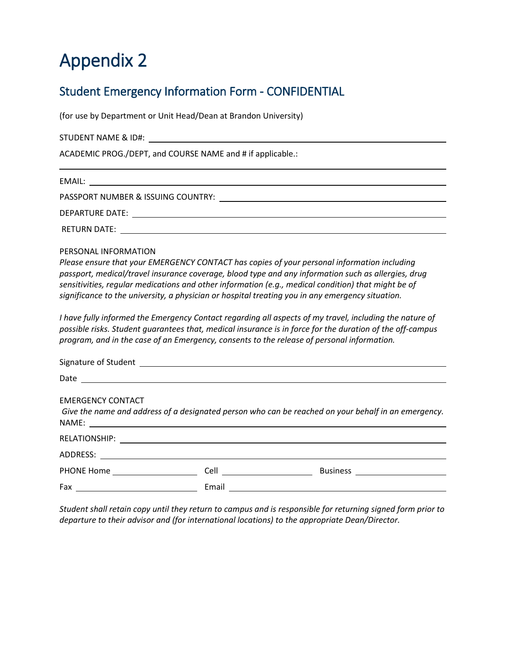## Student Emergency Information Form - CONFIDENTIAL

(for use by Department or Unit Head/Dean at Brandon University)

STUDENT NAME & ID#:

ACADEMIC PROG./DEPT, and COURSE NAME and # if applicable.:

EMAIL: PASSPORT NUMBER & ISSUING COUNTRY: DEPARTURE DATE:

RETURN DATE:

PERSONAL INFORMATION

*Please ensure that your EMERGENCY CONTACT has copies of your personal information including passport, medical/travel insurance coverage, blood type and any information such as allergies, drug sensitivities, regular medications and other information (e.g., medical condition) that might be of significance to the university, a physician or hospital treating you in any emergency situation.*

*I have fully informed the Emergency Contact regarding all aspects of my travel, including the nature of possible risks. Student guarantees that, medical insurance is in force for the duration of the off-campus program, and in the case of an Emergency, consents to the release of personal information.* 

| <b>EMERGENCY CONTACT</b>       |       | Give the name and address of a designated person who can be reached on your behalf in an emergency. |
|--------------------------------|-------|-----------------------------------------------------------------------------------------------------|
|                                |       |                                                                                                     |
|                                |       |                                                                                                     |
| PHONE Home <b>Example 2006</b> |       | Business ________________________                                                                   |
|                                | Email |                                                                                                     |

*Student shall retain copy until they return to campus and is responsible for returning signed form prior to departure to their advisor and (for international locations) to the appropriate Dean/Director.*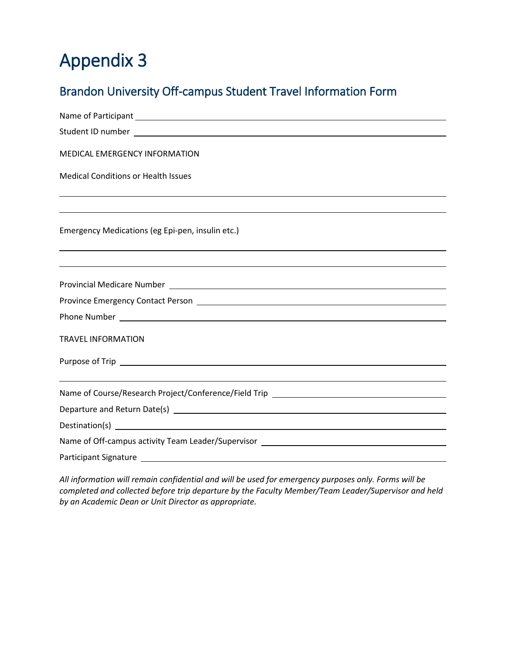## Brandon University Off-campus Student Travel Information Form

| <b>MEDICAL EMERGENCY INFORMATION</b>                                              |  |  |  |  |
|-----------------------------------------------------------------------------------|--|--|--|--|
| <b>Medical Conditions or Health Issues</b>                                        |  |  |  |  |
|                                                                                   |  |  |  |  |
|                                                                                   |  |  |  |  |
| Emergency Medications (eg Epi-pen, insulin etc.)                                  |  |  |  |  |
|                                                                                   |  |  |  |  |
|                                                                                   |  |  |  |  |
|                                                                                   |  |  |  |  |
|                                                                                   |  |  |  |  |
|                                                                                   |  |  |  |  |
| <b>TRAVEL INFORMATION</b>                                                         |  |  |  |  |
|                                                                                   |  |  |  |  |
|                                                                                   |  |  |  |  |
| Name of Course/Research Project/Conference/Field Trip ___________________________ |  |  |  |  |
|                                                                                   |  |  |  |  |
|                                                                                   |  |  |  |  |
| Name of Off-campus activity Team Leader/Supervisor ______________________________ |  |  |  |  |
| <b>Participant Signature</b>                                                      |  |  |  |  |

*All information will remain confidential and will be used for emergency purposes only. Forms will be completed and collected before trip departure by the Faculty Member/Team Leader/Supervisor and held by an Academic Dean or Unit Director as appropriate.*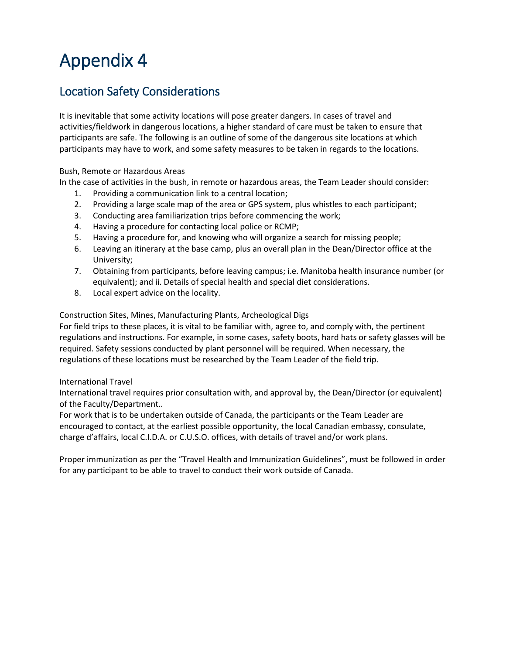## Location Safety Considerations

It is inevitable that some activity locations will pose greater dangers. In cases of travel and activities/fieldwork in dangerous locations, a higher standard of care must be taken to ensure that participants are safe. The following is an outline of some of the dangerous site locations at which participants may have to work, and some safety measures to be taken in regards to the locations.

#### Bush, Remote or Hazardous Areas

In the case of activities in the bush, in remote or hazardous areas, the Team Leader should consider:

- 1. Providing a communication link to a central location;
- 2. Providing a large scale map of the area or GPS system, plus whistles to each participant;
- 3. Conducting area familiarization trips before commencing the work;
- 4. Having a procedure for contacting local police or RCMP;
- 5. Having a procedure for, and knowing who will organize a search for missing people;
- 6. Leaving an itinerary at the base camp, plus an overall plan in the Dean/Director office at the University;
- 7. Obtaining from participants, before leaving campus; i.e. Manitoba health insurance number (or equivalent); and ii. Details of special health and special diet considerations.
- 8. Local expert advice on the locality.

Construction Sites, Mines, Manufacturing Plants, Archeological Digs

For field trips to these places, it is vital to be familiar with, agree to, and comply with, the pertinent regulations and instructions. For example, in some cases, safety boots, hard hats or safety glasses will be required. Safety sessions conducted by plant personnel will be required. When necessary, the regulations of these locations must be researched by the Team Leader of the field trip.

#### International Travel

International travel requires prior consultation with, and approval by, the Dean/Director (or equivalent) of the Faculty/Department..

For work that is to be undertaken outside of Canada, the participants or the Team Leader are encouraged to contact, at the earliest possible opportunity, the local Canadian embassy, consulate, charge d'affairs, local C.I.D.A. or C.U.S.O. offices, with details of travel and/or work plans.

Proper immunization as per the "Travel Health and Immunization Guidelines", must be followed in order for any participant to be able to travel to conduct their work outside of Canada.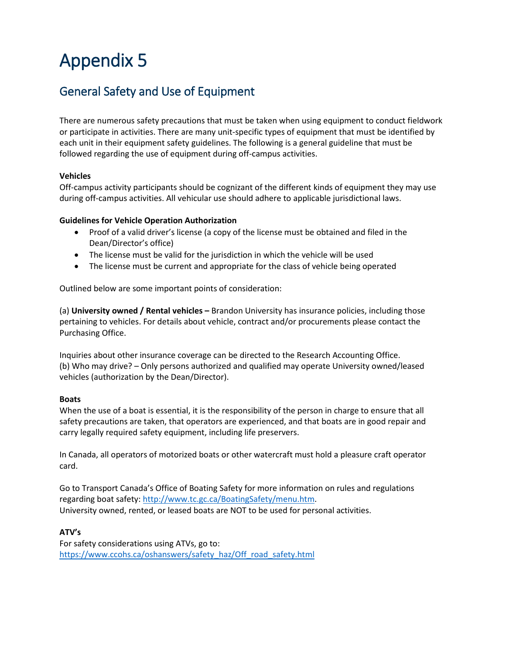## General Safety and Use of Equipment

There are numerous safety precautions that must be taken when using equipment to conduct fieldwork or participate in activities. There are many unit-specific types of equipment that must be identified by each unit in their equipment safety guidelines. The following is a general guideline that must be followed regarding the use of equipment during off-campus activities.

#### **Vehicles**

Off-campus activity participants should be cognizant of the different kinds of equipment they may use during off-campus activities. All vehicular use should adhere to applicable jurisdictional laws.

#### **Guidelines for Vehicle Operation Authorization**

- Proof of a valid driver's license (a copy of the license must be obtained and filed in the Dean/Director's office)
- The license must be valid for the jurisdiction in which the vehicle will be used
- The license must be current and appropriate for the class of vehicle being operated

Outlined below are some important points of consideration:

(a) **University owned / Rental vehicles –** Brandon University has insurance policies, including those pertaining to vehicles. For details about vehicle, contract and/or procurements please contact the Purchasing Office.

Inquiries about other insurance coverage can be directed to the Research Accounting Office. (b) Who may drive? – Only persons authorized and qualified may operate University owned/leased vehicles (authorization by the Dean/Director).

#### **Boats**

When the use of a boat is essential, it is the responsibility of the person in charge to ensure that all safety precautions are taken, that operators are experienced, and that boats are in good repair and carry legally required safety equipment, including life preservers.

In Canada, all operators of motorized boats or other watercraft must hold a pleasure craft operator card.

Go to Transport Canada's Office of Boating Safety for more information on rules and regulations regarding boat safety: [http://www.tc.gc.ca/BoatingSafety/menu.htm.](http://www.tc.gc.ca/BoatingSafety/menu.htm) University owned, rented, or leased boats are NOT to be used for personal activities.

#### **ATV's**

For safety considerations using ATVs, go to: [https://www.ccohs.ca/oshanswers/safety\\_haz/Off\\_road\\_safety.html](https://www.ccohs.ca/oshanswers/safety_haz/Off_road_safety.html)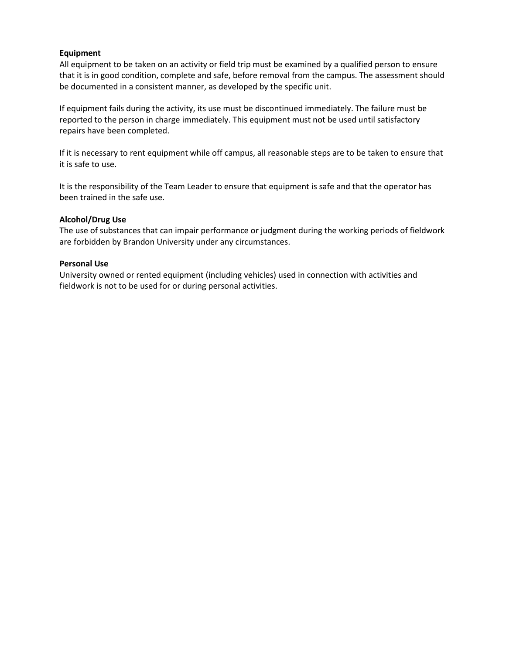#### **Equipment**

All equipment to be taken on an activity or field trip must be examined by a qualified person to ensure that it is in good condition, complete and safe, before removal from the campus. The assessment should be documented in a consistent manner, as developed by the specific unit.

If equipment fails during the activity, its use must be discontinued immediately. The failure must be reported to the person in charge immediately. This equipment must not be used until satisfactory repairs have been completed.

If it is necessary to rent equipment while off campus, all reasonable steps are to be taken to ensure that it is safe to use.

It is the responsibility of the Team Leader to ensure that equipment is safe and that the operator has been trained in the safe use.

#### **Alcohol/Drug Use**

The use of substances that can impair performance or judgment during the working periods of fieldwork are forbidden by Brandon University under any circumstances.

#### **Personal Use**

University owned or rented equipment (including vehicles) used in connection with activities and fieldwork is not to be used for or during personal activities.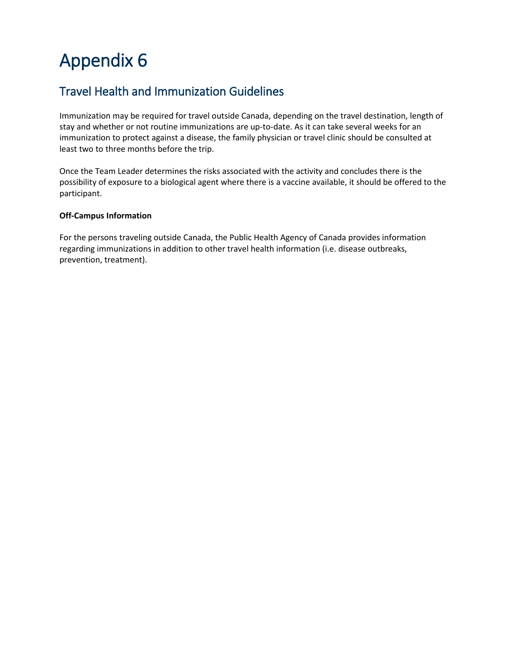## Travel Health and Immunization Guidelines

Immunization may be required for travel outside Canada, depending on the travel destination, length of stay and whether or not routine immunizations are up-to-date. As it can take several weeks for an immunization to protect against a disease, the family physician or travel clinic should be consulted at least two to three months before the trip.

Once the Team Leader determines the risks associated with the activity and concludes there is the possibility of exposure to a biological agent where there is a vaccine available, it should be offered to the participant.

#### **Off-Campus Information**

For the persons traveling outside Canada, the Public Health Agency of Canada provides information regarding immunizations in addition to other travel health information (i.e. disease outbreaks, prevention, treatment).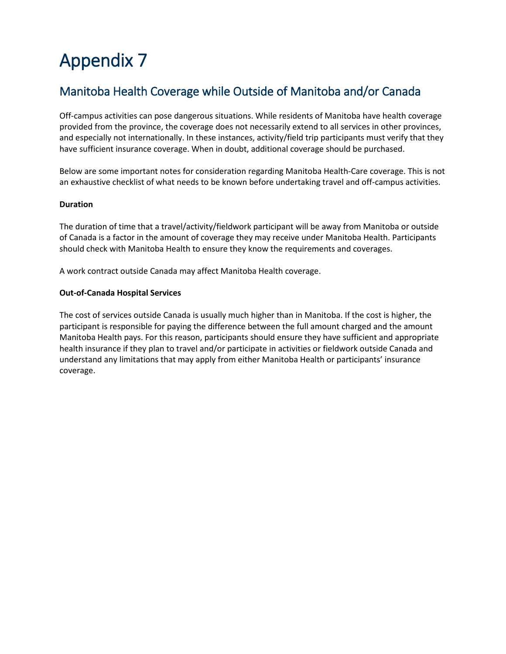## Manitoba Health Coverage while Outside of Manitoba and/or Canada

Off-campus activities can pose dangerous situations. While residents of Manitoba have health coverage provided from the province, the coverage does not necessarily extend to all services in other provinces, and especially not internationally. In these instances, activity/field trip participants must verify that they have sufficient insurance coverage. When in doubt, additional coverage should be purchased.

Below are some important notes for consideration regarding Manitoba Health-Care coverage. This is not an exhaustive checklist of what needs to be known before undertaking travel and off-campus activities.

#### **Duration**

The duration of time that a travel/activity/fieldwork participant will be away from Manitoba or outside of Canada is a factor in the amount of coverage they may receive under Manitoba Health. Participants should check with Manitoba Health to ensure they know the requirements and coverages.

A work contract outside Canada may affect Manitoba Health coverage.

#### **Out-of-Canada Hospital Services**

The cost of services outside Canada is usually much higher than in Manitoba. If the cost is higher, the participant is responsible for paying the difference between the full amount charged and the amount Manitoba Health pays. For this reason, participants should ensure they have sufficient and appropriate health insurance if they plan to travel and/or participate in activities or fieldwork outside Canada and understand any limitations that may apply from either Manitoba Health or participants' insurance coverage.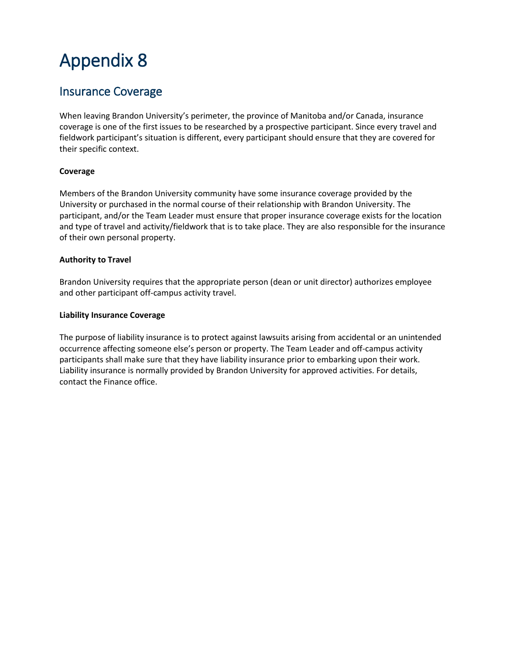### Insurance Coverage

When leaving Brandon University's perimeter, the province of Manitoba and/or Canada, insurance coverage is one of the first issues to be researched by a prospective participant. Since every travel and fieldwork participant's situation is different, every participant should ensure that they are covered for their specific context.

#### **Coverage**

Members of the Brandon University community have some insurance coverage provided by the University or purchased in the normal course of their relationship with Brandon University. The participant, and/or the Team Leader must ensure that proper insurance coverage exists for the location and type of travel and activity/fieldwork that is to take place. They are also responsible for the insurance of their own personal property.

#### **Authority to Travel**

Brandon University requires that the appropriate person (dean or unit director) authorizes employee and other participant off-campus activity travel.

#### **Liability Insurance Coverage**

The purpose of liability insurance is to protect against lawsuits arising from accidental or an unintended occurrence affecting someone else's person or property. The Team Leader and off-campus activity participants shall make sure that they have liability insurance prior to embarking upon their work. Liability insurance is normally provided by Brandon University for approved activities. For details, contact the Finance office.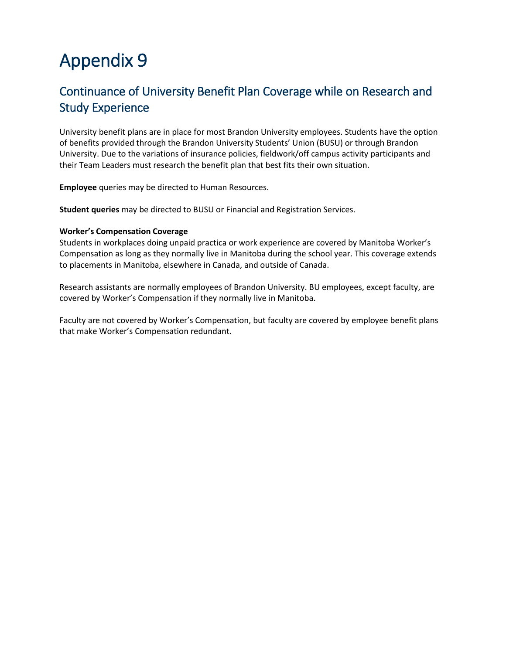## Continuance of University Benefit Plan Coverage while on Research and Study Experience

University benefit plans are in place for most Brandon University employees. Students have the option of benefits provided through the Brandon University Students' Union (BUSU) or through Brandon University. Due to the variations of insurance policies, fieldwork/off campus activity participants and their Team Leaders must research the benefit plan that best fits their own situation.

**Employee** queries may be directed to Human Resources.

**Student queries** may be directed to BUSU or Financial and Registration Services.

#### **Worker's Compensation Coverage**

Students in workplaces doing unpaid practica or work experience are covered by Manitoba Worker's Compensation as long as they normally live in Manitoba during the school year. This coverage extends to placements in Manitoba, elsewhere in Canada, and outside of Canada.

Research assistants are normally employees of Brandon University. BU employees, except faculty, are covered by Worker's Compensation if they normally live in Manitoba.

Faculty are not covered by Worker's Compensation, but faculty are covered by employee benefit plans that make Worker's Compensation redundant.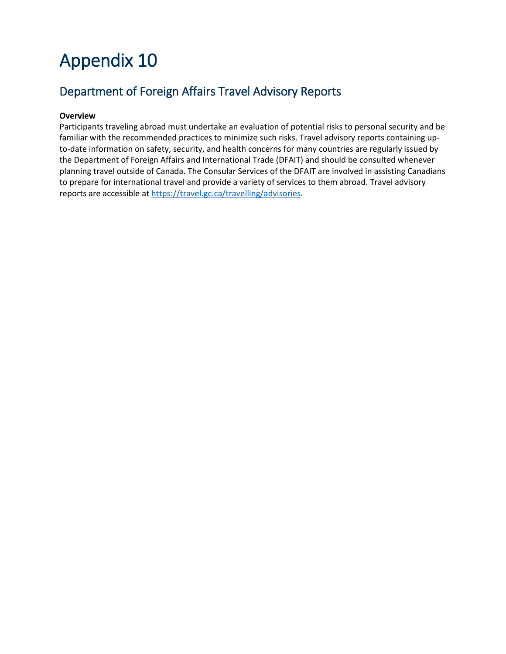## Department of Foreign Affairs Travel Advisory Reports

#### **Overview**

Participants traveling abroad must undertake an evaluation of potential risks to personal security and be familiar with the recommended practices to minimize such risks. Travel advisory reports containing upto-date information on safety, security, and health concerns for many countries are regularly issued by the Department of Foreign Affairs and International Trade (DFAIT) and should be consulted whenever planning travel outside of Canada. The Consular Services of the DFAIT are involved in assisting Canadians to prepare for international travel and provide a variety of services to them abroad. Travel advisory reports are accessible at [https://travel.gc.ca/travelling/advisories.](https://travel.gc.ca/travelling/advisories)